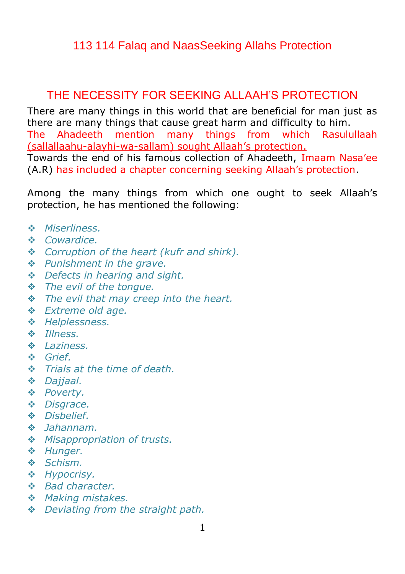## 113 114 Falaq and NaasSeeking Allahs Protection

# THE NECESSITY FOR SEEKING ALLAAH'S PROTECTION

There are many things in this world that are beneficial for man just as there are many things that cause great harm and difficulty to him. The Ahadeeth mention many things from which Rasulullaah (sallallaahu-alayhi-wa-sallam) sought Allaah"s protection. Towards the end of his famous collection of Ahadeeth, Imaam Nasa"ee (A.R) has included a chapter concerning seeking Allaah"s protection.

Among the many things from which one ought to seek Allaah"s protection, he has mentioned the following:

- *Miserliness.*
- *Cowardice.*
- *Corruption of the heart (kufr and shirk).*
- *Punishment in the grave.*
- *Defects in hearing and sight.*
- *The evil of the tongue.*
- *The evil that may creep into the heart.*
- *Extreme old age.*
- *Helplessness.*
- *Illness.*
- *Laziness.*
- *Grief.*
- *Trials at the time of death.*
- *Dajjaal.*
- *Poverty.*
- *Disgrace.*
- *Disbelief.*
- *Jahannam.*
- *Misappropriation of trusts.*
- *Hunger.*
- *Schism.*
- *Hypocrisy.*
- *Bad character.*
- *Making mistakes.*
- *Deviating from the straight path.*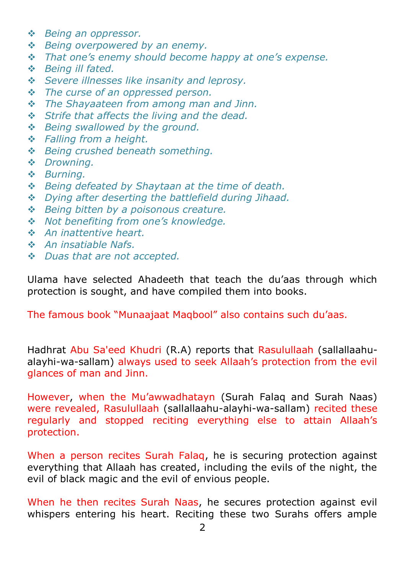- *Being an oppressor.*
- *Being overpowered by an enemy.*
- *That one's enemy should become happy at one's expense.*
- *Being ill fated.*
- *Severe illnesses like insanity and leprosy.*
- *The curse of an oppressed person.*
- *The Shayaateen from among man and Jinn.*
- *Strife that affects the living and the dead.*
- *Being swallowed by the ground.*
- *Falling from a height.*
- *Being crushed beneath something.*
- *Drowning.*
- *Burning.*
- *Being defeated by Shaytaan at the time of death.*
- *Dying after deserting the battlefield during Jihaad.*
- *Being bitten by a poisonous creature.*
- *Not benefiting from one's knowledge.*
- *An inattentive heart.*
- *An insatiable Nafs.*
- *Duas that are not accepted.*

Ulama have selected Ahadeeth that teach the du"aas through which protection is sought, and have compiled them into books.

The famous book "Munaajaat Maqbool" also contains such du"aas.

Hadhrat Abu Sa'eed Khudri (R.A) reports that Rasulullaah (sallallaahualayhi-wa-sallam) always used to seek Allaah"s protection from the evil glances of man and Jinn.

However, when the Mu"awwadhatayn (Surah Falaq and Surah Naas) were revealed, Rasulullaah (sallallaahu-alayhi-wa-sallam) recited these regularly and stopped reciting everything else to attain Allaah"s protection.

When a person recites Surah Falaq, he is securing protection against everything that Allaah has created, including the evils of the night, the evil of black magic and the evil of envious people.

When he then recites Surah Naas, he secures protection against evil whispers entering his heart. Reciting these two Surahs offers ample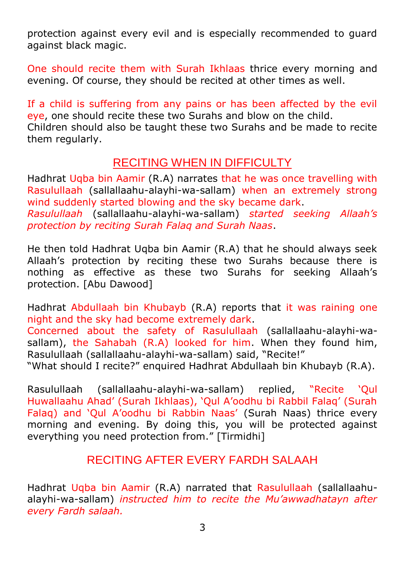protection against every evil and is especially recommended to guard against black magic.

One should recite them with Surah Ikhlaas thrice every morning and evening. Of course, they should be recited at other times as well.

If a child is suffering from any pains or has been affected by the evil eye, one should recite these two Surahs and blow on the child. Children should also be taught these two Surahs and be made to recite them regularly.

# RECITING WHEN IN DIFFICULTY

Hadhrat Uqba bin Aamir (R.A) narrates that he was once travelling with Rasulullaah (sallallaahu-alayhi-wa-sallam) when an extremely strong wind suddenly started blowing and the sky became dark. *Rasulullaah* (sallallaahu-alayhi-wa-sallam) *started seeking Allaah's protection by reciting Surah Falaq and Surah Naas*.

He then told Hadhrat Uqba bin Aamir (R.A) that he should always seek Allaah"s protection by reciting these two Surahs because there is nothing as effective as these two Surahs for seeking Allaah"s protection. [Abu Dawood]

Hadhrat Abdullaah bin Khubayb (R.A) reports that it was raining one night and the sky had become extremely dark. Concerned about the safety of Rasulullaah (sallallaahu-alayhi-wasallam), the Sahabah (R.A) looked for him. When they found him, Rasulullaah (sallallaahu-alayhi-wa-sallam) said, "Recite!" "What should I recite?" enquired Hadhrat Abdullaah bin Khubayb (R.A).

Rasulullaah (sallallaahu-alayhi-wa-sallam) replied, "Recite "Qul Huwallaahu Ahad" (Surah Ikhlaas), "Qul A"oodhu bi Rabbil Falaq" (Surah Falaq) and 'Qul A'oodhu bi Rabbin Naas' (Surah Naas) thrice every morning and evening. By doing this, you will be protected against everything you need protection from." [Tirmidhi]

# RECITING AFTER EVERY FARDH SALAAH

Hadhrat Uqba bin Aamir (R.A) narrated that Rasulullaah (sallallaahualayhi-wa-sallam) *instructed him to recite the Mu'awwadhatayn after every Fardh salaah.*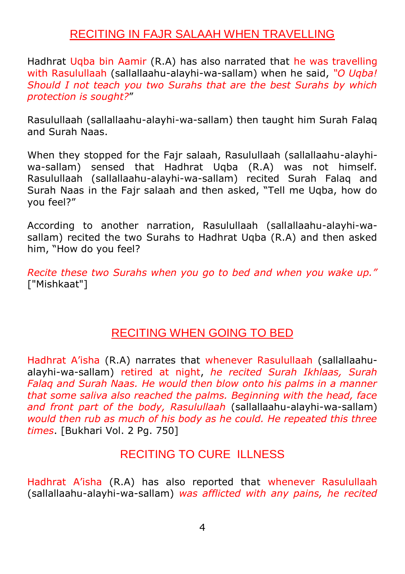### RECITING IN FAJR SALAAH WHEN TRAVELLING

Hadhrat Uqba bin Aamir (R.A) has also narrated that he was travelling with Rasulullaah (sallallaahu-alayhi-wa-sallam) when he said, *"O Uqba! Should I not teach you two Surahs that are the best Surahs by which protection is sought?*"

Rasulullaah (sallallaahu-alayhi-wa-sallam) then taught him Surah Falaq and Surah Naas.

When they stopped for the Fajr salaah, Rasulullaah (sallallaahu-alayhiwa-sallam) sensed that Hadhrat Uqba (R.A) was not himself. Rasulullaah (sallallaahu-alayhi-wa-sallam) recited Surah Falaq and Surah Naas in the Fajr salaah and then asked, "Tell me Uqba, how do you feel?"

According to another narration, Rasulullaah (sallallaahu-alayhi-wasallam) recited the two Surahs to Hadhrat Uqba (R.A) and then asked him, "How do you feel?

*Recite these two Surahs when you go to bed and when you wake up."* ["Mishkaat"]

#### RECITING WHEN GOING TO BED

Hadhrat A"isha (R.A) narrates that whenever Rasulullaah (sallallaahualayhi-wa-sallam) retired at night, *he recited Surah Ikhlaas, Surah Falaq and Surah Naas. He would then blow onto his palms in a manner that some saliva also reached the palms. Beginning with the head, face and front part of the body, Rasulullaah* (sallallaahu-alayhi-wa-sallam) *would then rub as much of his body as he could. He repeated this three times*. [Bukhari Vol. 2 Pg. 750]

### RECITING TO CURE ILLNESS

Hadhrat A"isha (R.A) has also reported that whenever Rasulullaah (sallallaahu-alayhi-wa-sallam) *was afflicted with any pains, he recited*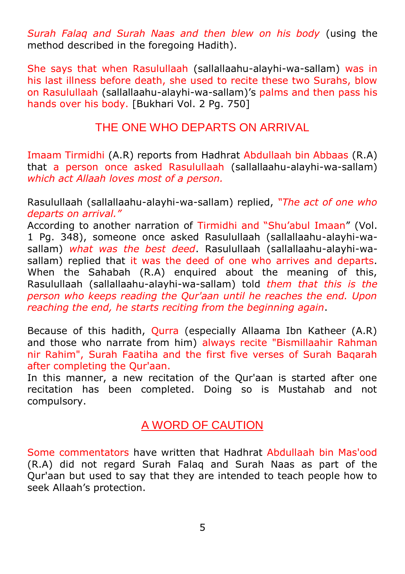*Surah Falaq and Surah Naas and then blew on his body* (using the method described in the foregoing Hadith).

She says that when Rasulullaah (sallallaahu-alayhi-wa-sallam) was in his last illness before death, she used to recite these two Surahs, blow on Rasulullaah (sallallaahu-alayhi-wa-sallam)"s palms and then pass his hands over his body. [Bukhari Vol. 2 Pg. 750]

### THE ONE WHO DEPARTS ON ARRIVAL

Imaam Tirmidhi (A.R) reports from Hadhrat Abdullaah bin Abbaas (R.A) that a person once asked Rasulullaah (sallallaahu-alayhi-wa-sallam) *which act Allaah loves most of a person.*

Rasulullaah (sallallaahu-alayhi-wa-sallam) replied, *"The act of one who departs on arrival."*

According to another narration of Tirmidhi and "Shu"abul Imaan" (Vol. 1 Pg. 348), someone once asked Rasulullaah (sallallaahu-alayhi-wasallam) *what was the best deed*. Rasulullaah (sallallaahu-alayhi-wasallam) replied that it was the deed of one who arrives and departs. When the Sahabah (R.A) enquired about the meaning of this, Rasulullaah (sallallaahu-alayhi-wa-sallam) told *them that this is the person who keeps reading the Qur'aan until he reaches the end. Upon reaching the end, he starts reciting from the beginning again*.

Because of this hadith, Qurra (especially Allaama Ibn Katheer (A.R) and those who narrate from him) always recite "Bismillaahir Rahman nir Rahim", Surah Faatiha and the first five verses of Surah Baqarah after completing the Qur'aan.

In this manner, a new recitation of the Qur'aan is started after one recitation has been completed. Doing so is Mustahab and not compulsory.

#### A WORD OF CAUTION

Some commentators have written that Hadhrat Abdullaah bin Mas'ood (R.A) did not regard Surah Falaq and Surah Naas as part of the Qur'aan but used to say that they are intended to teach people how to seek Allaah"s protection.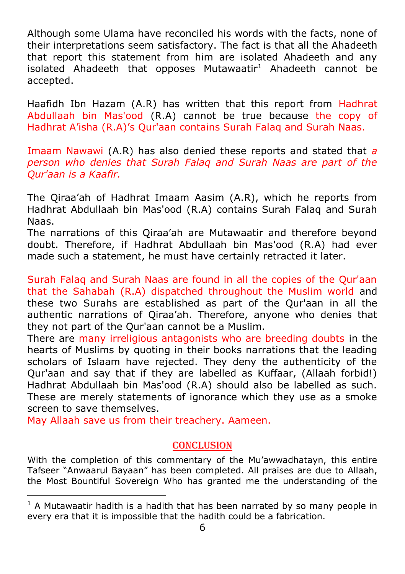Although some Ulama have reconciled his words with the facts, none of their interpretations seem satisfactory. The fact is that all the Ahadeeth that report this statement from him are isolated Ahadeeth and any isolated Ahadeeth that opposes Mutawaatir $1$  Ahadeeth cannot be accepted.

Haafidh Ibn Hazam (A.R) has written that this report from Hadhrat Abdullaah bin Mas'ood (R.A) cannot be true because the copy of Hadhrat A"isha (R.A)"s Qur'aan contains Surah Falaq and Surah Naas.

Imaam Nawawi (A.R) has also denied these reports and stated that *a person who denies that Surah Falaq and Surah Naas are part of the Qur'aan is a Kaafir.*

The Qiraa"ah of Hadhrat Imaam Aasim (A.R), which he reports from Hadhrat Abdullaah bin Mas'ood (R.A) contains Surah Falaq and Surah Naas.

The narrations of this Qiraa"ah are Mutawaatir and therefore beyond doubt. Therefore, if Hadhrat Abdullaah bin Mas'ood (R.A) had ever made such a statement, he must have certainly retracted it later.

Surah Falaq and Surah Naas are found in all the copies of the Qur'aan that the Sahabah (R.A) dispatched throughout the Muslim world and these two Surahs are established as part of the Qur'aan in all the authentic narrations of Qiraa"ah. Therefore, anyone who denies that they not part of the Qur'aan cannot be a Muslim.

There are many irreligious antagonists who are breeding doubts in the hearts of Muslims by quoting in their books narrations that the leading scholars of Islaam have rejected. They deny the authenticity of the Qur'aan and say that if they are labelled as Kuffaar, (Allaah forbid!) Hadhrat Abdullaah bin Mas'ood (R.A) should also be labelled as such. These are merely statements of ignorance which they use as a smoke screen to save themselves.

May Allaah save us from their treachery. Aameen.

-

#### conclusion

With the completion of this commentary of the Mu"awwadhatayn, this entire Tafseer "Anwaarul Bayaan" has been completed. All praises are due to Allaah, the Most Bountiful Sovereign Who has granted me the understanding of the

 $<sup>1</sup>$  A Mutawaatir hadith is a hadith that has been narrated by so many people in</sup> every era that it is impossible that the hadith could be a fabrication.